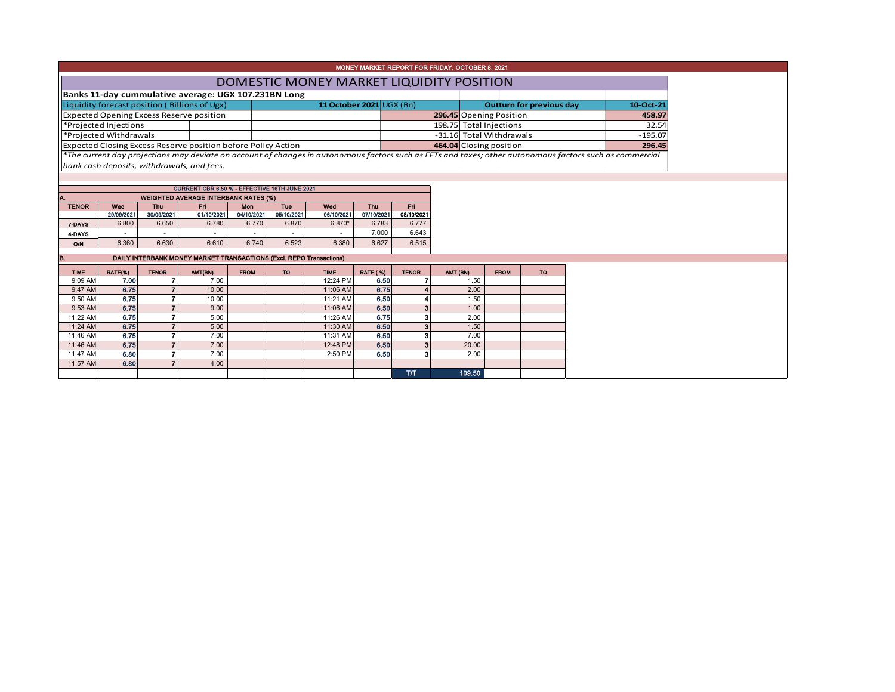| MONEY MARKET REPORT FOR FRIDAY, OCTOBER 8, 2021                           |                        |                     |                                                                                                                                                          |                     |                     |                      |                     |                     |                         |              |                          |                                 |  |           |
|---------------------------------------------------------------------------|------------------------|---------------------|----------------------------------------------------------------------------------------------------------------------------------------------------------|---------------------|---------------------|----------------------|---------------------|---------------------|-------------------------|--------------|--------------------------|---------------------------------|--|-----------|
| DOMESTIC MONEY MARKET LIQUIDITY POSITION                                  |                        |                     |                                                                                                                                                          |                     |                     |                      |                     |                     |                         |              |                          |                                 |  |           |
| Banks 11-day cummulative average: UGX 107.231BN Long                      |                        |                     |                                                                                                                                                          |                     |                     |                      |                     |                     |                         |              |                          |                                 |  |           |
| 11 October 2021 UGX (Bn)<br>Liquidity forecast position (Billions of Ugx) |                        |                     |                                                                                                                                                          |                     |                     |                      |                     |                     |                         |              |                          | <b>Outturn for previous day</b> |  | 10-Oct-21 |
| <b>Expected Opening Excess Reserve position</b>                           |                        |                     |                                                                                                                                                          |                     |                     |                      |                     |                     | 296.45 Opening Position |              |                          | 458.97                          |  |           |
|                                                                           | *Projected Injections  |                     |                                                                                                                                                          |                     |                     |                      |                     |                     |                         |              | 198.75 Total Injections  |                                 |  | 32.54     |
|                                                                           | *Projected Withdrawals |                     |                                                                                                                                                          |                     |                     |                      |                     |                     |                         |              | -31.16 Total Withdrawals |                                 |  | $-195.07$ |
|                                                                           |                        |                     | Expected Closing Excess Reserve position before Policy Action                                                                                            |                     |                     |                      |                     |                     |                         |              | 464.04 Closing position  |                                 |  | 296.45    |
|                                                                           |                        |                     | *The current day projections may deviate on account of changes in autonomous factors such as EFTs and taxes; other autonomous factors such as commercial |                     |                     |                      |                     |                     |                         |              |                          |                                 |  |           |
|                                                                           |                        |                     | bank cash deposits, withdrawals, and fees.                                                                                                               |                     |                     |                      |                     |                     |                         |              |                          |                                 |  |           |
|                                                                           |                        |                     |                                                                                                                                                          |                     |                     |                      |                     |                     |                         |              |                          |                                 |  |           |
|                                                                           |                        |                     | CURRENT CBR 6.50 % - EFFECTIVE 16TH JUNE 2021                                                                                                            |                     |                     |                      |                     |                     |                         |              |                          |                                 |  |           |
| А.                                                                        |                        |                     | <b>WEIGHTED AVERAGE INTERBANK RATES (%)</b>                                                                                                              |                     |                     |                      |                     |                     |                         |              |                          |                                 |  |           |
| <b>TENOR</b>                                                              | Wed                    | Thu                 | Fri.                                                                                                                                                     | <b>Mon</b>          | Tue                 | Wed                  | Thu                 | Fri                 |                         |              |                          |                                 |  |           |
|                                                                           | 29/09/2021<br>6.800    | 30/09/2021<br>6.650 | 01/10/2021<br>6.780                                                                                                                                      | 04/10/2021<br>6.770 | 05/10/2021<br>6.870 | 06/10/2021<br>6.870* | 07/10/2021<br>6.783 | 08/10/2021<br>6.777 |                         |              |                          |                                 |  |           |
| 7-DAYS<br>4 DAYS                                                          |                        |                     |                                                                                                                                                          |                     |                     |                      | 7.000               | 6.643               |                         |              |                          |                                 |  |           |
| O/N                                                                       | 6.360                  | 6.630               | 6.610                                                                                                                                                    | 6.740               | 6.523               | 6.380                | 6.627               | 6.515               |                         |              |                          |                                 |  |           |
|                                                                           |                        |                     |                                                                                                                                                          |                     |                     |                      |                     |                     |                         |              |                          |                                 |  |           |
| В.                                                                        |                        |                     | DAILY INTERBANK MONEY MARKET TRANSACTIONS (Excl. REPO Transactions)                                                                                      |                     |                     |                      |                     |                     |                         |              |                          |                                 |  |           |
| <b>TIME</b>                                                               | RATE(%)                | <b>TENOR</b>        | AMT(BN)                                                                                                                                                  | <b>FROM</b>         | <b>TO</b>           | <b>TIME</b>          | <b>RATE (%)</b>     | <b>TENOR</b>        | AMT (BN)                |              | <b>FROM</b>              | <b>TO</b>                       |  |           |
| 9:09 AM                                                                   | 7.00                   |                     | 7.00                                                                                                                                                     |                     |                     | 12:24 PM             | 6.50                |                     |                         | 1.50         |                          |                                 |  |           |
| 9:47 AM                                                                   | 6.75                   |                     | 10.00                                                                                                                                                    |                     |                     | 11:06 AM             | 6.75                |                     |                         | 2.00         |                          |                                 |  |           |
| 9:50 AM                                                                   | 6.75                   |                     | 10.00                                                                                                                                                    |                     |                     | 11:21 AM             | 6.50                |                     |                         | 1.50         |                          |                                 |  |           |
| 9:53 AM<br>11:22 AM                                                       | 6.75<br>6.75           |                     | 9.00<br>5.00                                                                                                                                             |                     |                     | 11:06 AM<br>11:26 AM | 6.50<br>6.75        | 3<br>3              |                         | 1.00<br>2.00 |                          |                                 |  |           |
| 11:24 AM                                                                  | 6.75                   |                     | 5.00                                                                                                                                                     |                     |                     | 11:30 AM             | 6.50                | $\mathbf{3}$        |                         | 1.50         |                          |                                 |  |           |
| 11:46 AM                                                                  | 6.75                   | 7                   | 7.00                                                                                                                                                     |                     |                     | 11:31 AM             | 6.50                | 3                   |                         | 7.00         |                          |                                 |  |           |
| 11:46 AM                                                                  | 6.75                   | $\overline{7}$      | 7.00                                                                                                                                                     |                     |                     | 12:48 PM             | 6.50                | $\mathbf{3}$        |                         | 20.00        |                          |                                 |  |           |
| 11:47 AM                                                                  | 6.80                   | 7                   | 7.00                                                                                                                                                     |                     |                     | 2:50 PM              | 6.50                |                     |                         | 2.00         |                          |                                 |  |           |
| 11:57 AM                                                                  | 6.80                   |                     | 4.00                                                                                                                                                     |                     |                     |                      |                     |                     |                         |              |                          |                                 |  |           |
|                                                                           |                        |                     |                                                                                                                                                          |                     |                     |                      |                     | T/T                 |                         | 109.50       |                          |                                 |  |           |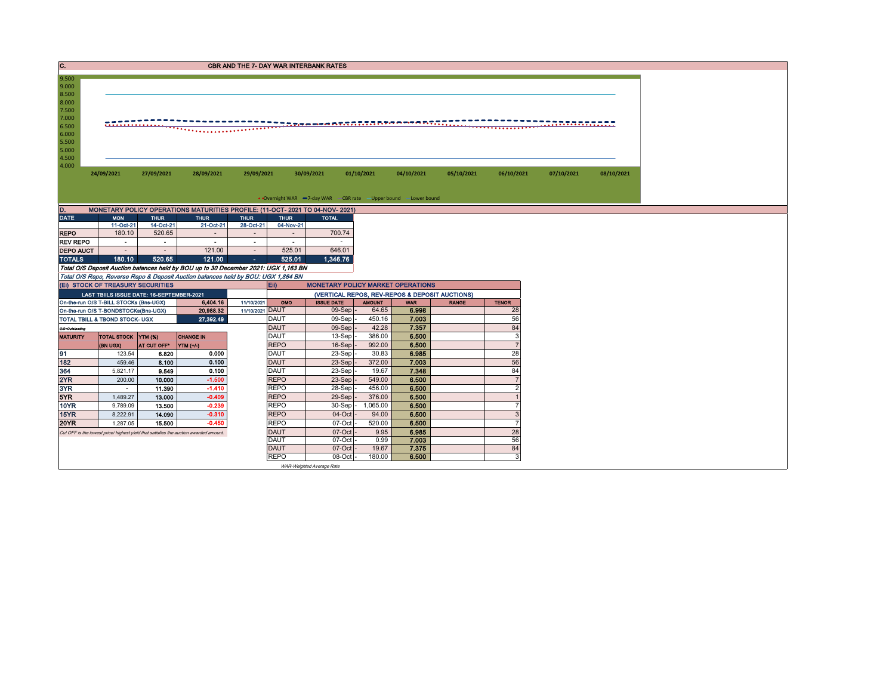| C.                            | <b>CBR AND THE 7- DAY WAR INTERBANK RATES</b> |                     |             |             |                                                                               |            |            |            |            |            |            |  |  |  |
|-------------------------------|-----------------------------------------------|---------------------|-------------|-------------|-------------------------------------------------------------------------------|------------|------------|------------|------------|------------|------------|--|--|--|
| 9.500                         |                                               |                     |             |             |                                                                               |            |            |            |            |            |            |  |  |  |
| 9.000                         |                                               |                     |             |             |                                                                               |            |            |            |            |            |            |  |  |  |
| 8.500                         |                                               |                     |             |             |                                                                               |            |            |            |            |            |            |  |  |  |
| 8.000                         |                                               |                     |             |             |                                                                               |            |            |            |            |            |            |  |  |  |
| 7.500                         |                                               |                     |             |             |                                                                               |            |            |            |            |            |            |  |  |  |
| 7.000                         |                                               |                     |             |             |                                                                               |            |            |            |            |            |            |  |  |  |
| 6.500                         |                                               |                     |             |             |                                                                               |            |            |            |            |            |            |  |  |  |
| 6.000                         |                                               |                     |             |             |                                                                               |            |            |            |            |            |            |  |  |  |
| 5.500                         |                                               |                     |             |             |                                                                               |            |            |            |            |            |            |  |  |  |
|                               |                                               |                     |             |             |                                                                               |            |            |            |            |            |            |  |  |  |
|                               |                                               |                     |             |             |                                                                               |            |            |            |            |            |            |  |  |  |
|                               |                                               |                     |             |             |                                                                               |            |            |            |            |            |            |  |  |  |
|                               |                                               |                     |             |             |                                                                               |            |            |            |            |            |            |  |  |  |
|                               | 24/09/2021                                    | 27/09/2021          | 28/09/2021  | 29/09/2021  | 30/09/2021                                                                    | 01/10/2021 | 04/10/2021 | 05/10/2021 | 06/10/2021 | 07/10/2021 | 08/10/2021 |  |  |  |
|                               |                                               |                     |             |             |                                                                               |            |            |            |            |            |            |  |  |  |
|                               |                                               |                     |             |             |                                                                               |            |            |            |            |            |            |  |  |  |
|                               |                                               |                     |             |             | • Overnight WAR -7-day WAR - CBR rate - Upper bound -Lower bound              |            |            |            |            |            |            |  |  |  |
| 5.000<br>4.500<br>4.000<br>D. |                                               |                     |             |             | MONETARY POLICY OPERATIONS MATURITIES PROFILE: (11-OCT- 2021 TO 04-NOV- 2021) |            |            |            |            |            |            |  |  |  |
| <b>DATE</b>                   | <b>MON</b>                                    | <b>THUR</b>         | <b>THUR</b> | <b>THUR</b> | <b>THUR</b><br><b>TOTAL</b>                                                   |            |            |            |            |            |            |  |  |  |
| <b>REPO</b>                   | 11-Oct-21<br>180.10                           | 14-Oct-21<br>520.65 | 21-Oct-21   | 28-Oct-21   | 04-Nov-21                                                                     | 700.74     |            |            |            |            |            |  |  |  |

| <b>TOTALO</b>    | 400.40   | EOO DE. | 494.00 | EOE OA | 4.94070 |
|------------------|----------|---------|--------|--------|---------|
| <b>DEPO AUCT</b> |          |         | 121.00 | 525.01 | 646.01  |
| <b>REV REPO</b>  | $\equiv$ |         |        |        |         |

TOTALS 180.10 | 520.65 | 121.00 | 525.01 | 525.01<br>Total O/S Deposit Auction balances held by BOU up to 30 December 2021: UGX 1,163 BN<br>Total O/S Repos, Reverse Repo & Deposit Auction balances held by BOU: UGX 1,864 BN<br>(EI)

5.000  $5.5$  $6.0$  $6.5$  $7.0$ 

| (EI) STOCK OF TREASURY SECURITIES |                                             |                    |                                                                                      |                 | Eii)<br><b>MONETARY POLICY MARKET OPERATIONS</b> |                                                |               |            |              |                |  |  |  |  |
|-----------------------------------|---------------------------------------------|--------------------|--------------------------------------------------------------------------------------|-----------------|--------------------------------------------------|------------------------------------------------|---------------|------------|--------------|----------------|--|--|--|--|
|                                   | LAST TBIILS ISSUE DATE: 16-SEPTEMBER-2021   |                    |                                                                                      |                 |                                                  | (VERTICAL REPOS, REV-REPOS & DEPOSIT AUCTIONS) |               |            |              |                |  |  |  |  |
|                                   | On-the-run O/S T-BILL STOCKs (Bns-UGX)      |                    | 6,404.16                                                                             | 11/10/2021      | OMO                                              | <b>ISSUE DATE</b>                              | <b>AMOUNT</b> | <b>WAR</b> | <b>RANGE</b> | <b>TENOR</b>   |  |  |  |  |
|                                   | On-the-run O/S T-BONDSTOCKs(Bns-UGX)        |                    | 20,988.32                                                                            | 11/10/2021 DAUT |                                                  | $09-Sep$                                       | 64.65         | 6.998      |              | 28             |  |  |  |  |
|                                   | 27,392.49<br>TOTAL TBILL & TBOND STOCK- UGX |                    |                                                                                      |                 | <b>DAUT</b>                                      | $09-Sep$                                       | 450.16        | 7.003      |              | 56             |  |  |  |  |
| O/S=Outstanding                   |                                             |                    |                                                                                      |                 | <b>DAUT</b>                                      | $09-Sep$ .                                     | 42.28         | 7.357      |              | 84             |  |  |  |  |
| <b>MATURITY</b>                   | <b>TOTAL STOCK YTM (%)</b>                  |                    | <b>CHANGE IN</b>                                                                     |                 | <b>DAUT</b>                                      | $13-Sep$                                       | 386.00        | 6.500      |              | 3              |  |  |  |  |
|                                   | (BN UGX)                                    | <b>AT CUT OFF*</b> | YTM (+/-)                                                                            |                 | <b>REPO</b>                                      | $16-Sepl$                                      | 992.00        | 6.500      |              |                |  |  |  |  |
| 191                               | 123.54                                      | 6.820              | 0.000                                                                                |                 | DAUT                                             | $23-Sep$ .                                     | 30.83         | 6.985      |              | 28             |  |  |  |  |
| 182                               | 459.46                                      | 8.100              | 0.100                                                                                |                 | <b>DAUT</b>                                      | $23-Sep$                                       | 372.00        | 7.003      |              | 56             |  |  |  |  |
| 364                               | 5.821.17                                    | 9.549              | 0.100                                                                                |                 | <b>DAUT</b>                                      | 23-Sep                                         | 19.67         | 7.348      |              | 84             |  |  |  |  |
| 2YR                               | 200.00                                      | 10.000             | $-1.500$                                                                             |                 | <b>REPO</b>                                      | $23-Sepl$                                      | 549.00        | 6.500      |              |                |  |  |  |  |
| 3YR                               |                                             | 11.390             | $-1.410$                                                                             |                 | <b>REPO</b>                                      | $28-Sep$                                       | 456.00        | 6.500      |              | $\overline{2}$ |  |  |  |  |
| 5YR                               | 1.489.27                                    | 13.000             | $-0.409$                                                                             |                 | <b>REPO</b>                                      | $29-Sep$                                       | 376.00        | 6.500      |              |                |  |  |  |  |
| 10YR                              | 9.789.09                                    | 13.500             | $-0.239$                                                                             |                 | <b>REPO</b>                                      | 30-Sep                                         | 065.00        | 6.500      |              |                |  |  |  |  |
| 15YR                              | 8,222.91                                    | 14.090             | $-0.310$                                                                             |                 | <b>REPO</b>                                      | $04-Oct$                                       | 94.00         | 6.500      |              | 3              |  |  |  |  |
| <b>20YR</b>                       | 1.287.05                                    | 15.500             | $-0.450$                                                                             |                 | <b>REPO</b>                                      | 07-Oct                                         | 520.00        | 6.500      |              | 7              |  |  |  |  |
|                                   |                                             |                    | Cut OFF is the lowest price/highest vield that satisfies the auction awarded amount. |                 | <b>DAUT</b>                                      | $07-Cct$                                       | 9.95          | 6.985      |              | 28             |  |  |  |  |
|                                   |                                             |                    |                                                                                      |                 | <b>DAUT</b>                                      | 07-Oct                                         | 0.99          | 7.003      |              | 56             |  |  |  |  |
|                                   |                                             |                    |                                                                                      |                 | <b>DAUT</b>                                      | 07-Oct -                                       | 19.67         | 7.375      |              | 84             |  |  |  |  |
|                                   |                                             |                    |                                                                                      |                 | <b>REPO</b>                                      | 08-Oct                                         | 180.00        | 6.500      |              | 3              |  |  |  |  |
|                                   |                                             |                    |                                                                                      |                 |                                                  | WAR-Weighted Average Rate                      |               |            |              |                |  |  |  |  |